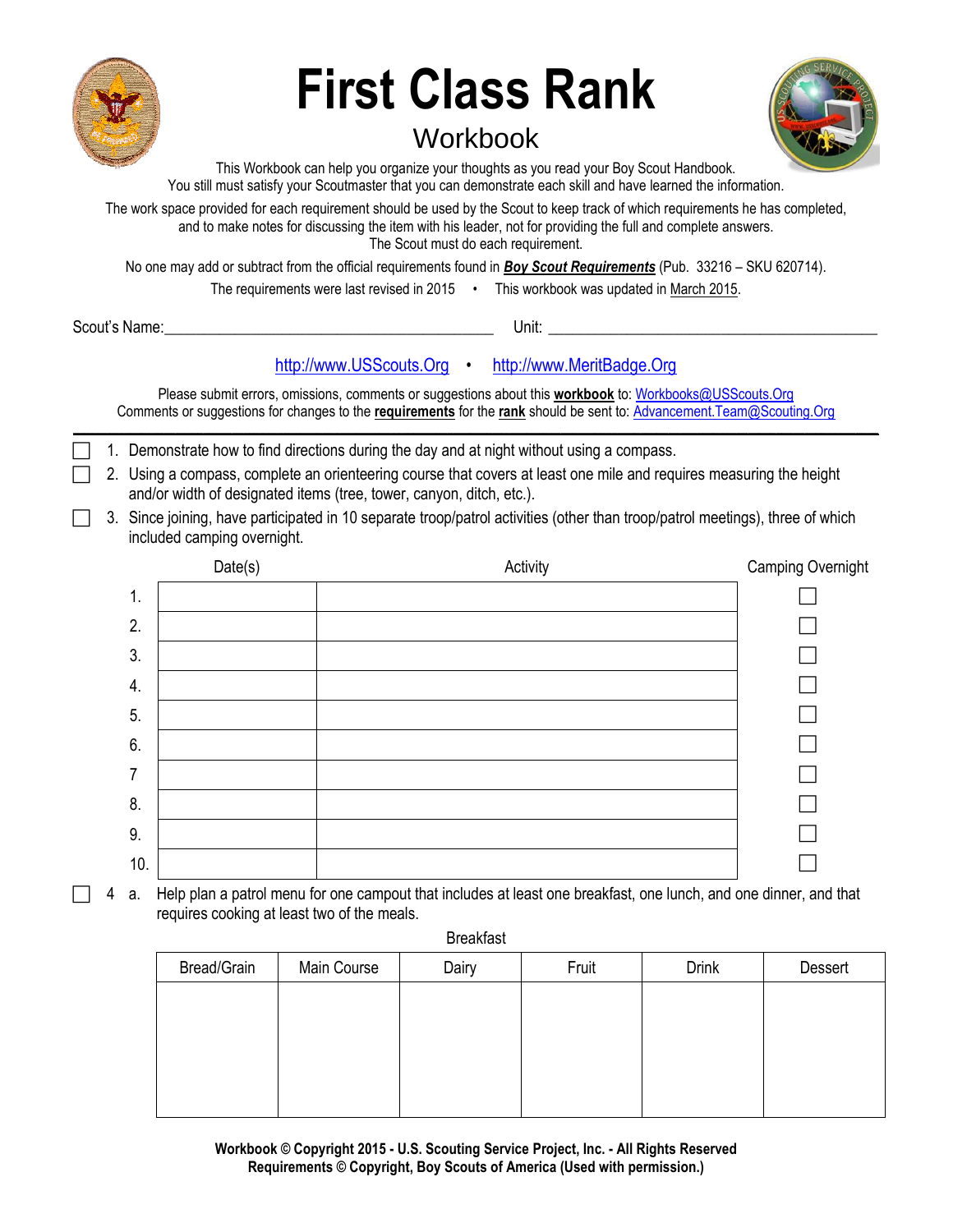

# **First Class Rank**

# Workbook



This Workbook can help you organize your thoughts as you read your Boy Scout Handbook. You still must satisfy your Scoutmaster that you can demonstrate each skill and have learned the information.

The work space provided for each requirement should be used by the Scout to keep track of which requirements he has completed, and to make notes for discussing the item with his leader, not for providing the full and complete answers. The Scout must do each requirement.

No one may add or subtract from the official requirements found in *Boy Scout Requirements* (Pub. 33216 – SKU 620714).

The requirements were last revised in 2015 • This workbook was updated in March 2015.

Scout's Name: The Communication of the Communication of the Unit: Unit: Unit: Unit: Unit: Communication of the Communication of the Communication of the Communication of the Communication of the Communication of the Commun

# [http://www.USScouts.Org](http://www.usscouts.org/) • [http://www.MeritBadge.Org](http://www.meritbadge.org/)

Please submit errors, omissions, comments or suggestions about this **workbook** to: [Workbooks@USScouts.Org](mailto:Workbooks@usscouts.org?subject=Merit%20Badge%20Workbooks) Comments or suggestions for changes to the **requirements** for the **rank** should be sent to: [Advancement.Team@Scouting.Org](mailto:Advancement.Team@Scouting.Org) *\_\_\_\_\_\_\_\_\_\_\_\_\_\_\_\_\_\_\_\_\_\_\_\_\_\_\_\_\_\_\_\_\_\_\_\_\_\_\_\_\_\_\_\_\_\_\_\_\_\_\_\_\_\_\_\_\_\_\_\_\_\_\_\_\_\_\_\_\_\_\_\_\_\_\_\_\_\_\_\_\_\_\_\_\_\_\_\_\_\_\_\_\_\_\_\_\_\_\_\_\_\_\_\_\_\_\_\_\_\_\_\_\_\_\_\_\_\_\_\_\_\_\_\_\_\_\_\_\_\_\_\_\_\_\_\_\_\_\_\_\_\_*

- 1. Demonstrate how to find directions during the day and at night without using a compass.
- 2. Using a compass, complete an orienteering course that covers at least one mile and requires measuring the height and/or width of designated items (tree, tower, canyon, ditch, etc.).
- 3. Since joining, have participated in 10 separate troop/patrol activities (other than troop/patrol meetings), three of which included camping overnight.

|                | Date(s) | Activity | Camping Overnight |
|----------------|---------|----------|-------------------|
| 1.             |         |          |                   |
| 2.             |         |          |                   |
| 3.             |         |          |                   |
| 4.             |         |          |                   |
| 5.             |         |          |                   |
| 6.             |         |          |                   |
| $\overline{7}$ |         |          |                   |
| 8.             |         |          |                   |
| 9.             |         |          |                   |
| 10.            |         |          |                   |

 4 a. Help plan a patrol menu for one campout that includes at least one breakfast, one lunch, and one dinner, and that requires cooking at least two of the meals.

Breakfast

| Bread/Grain | Main Course | Dairy | Fruit | <b>Drink</b> | Dessert |
|-------------|-------------|-------|-------|--------------|---------|
|             |             |       |       |              |         |
|             |             |       |       |              |         |
|             |             |       |       |              |         |
|             |             |       |       |              |         |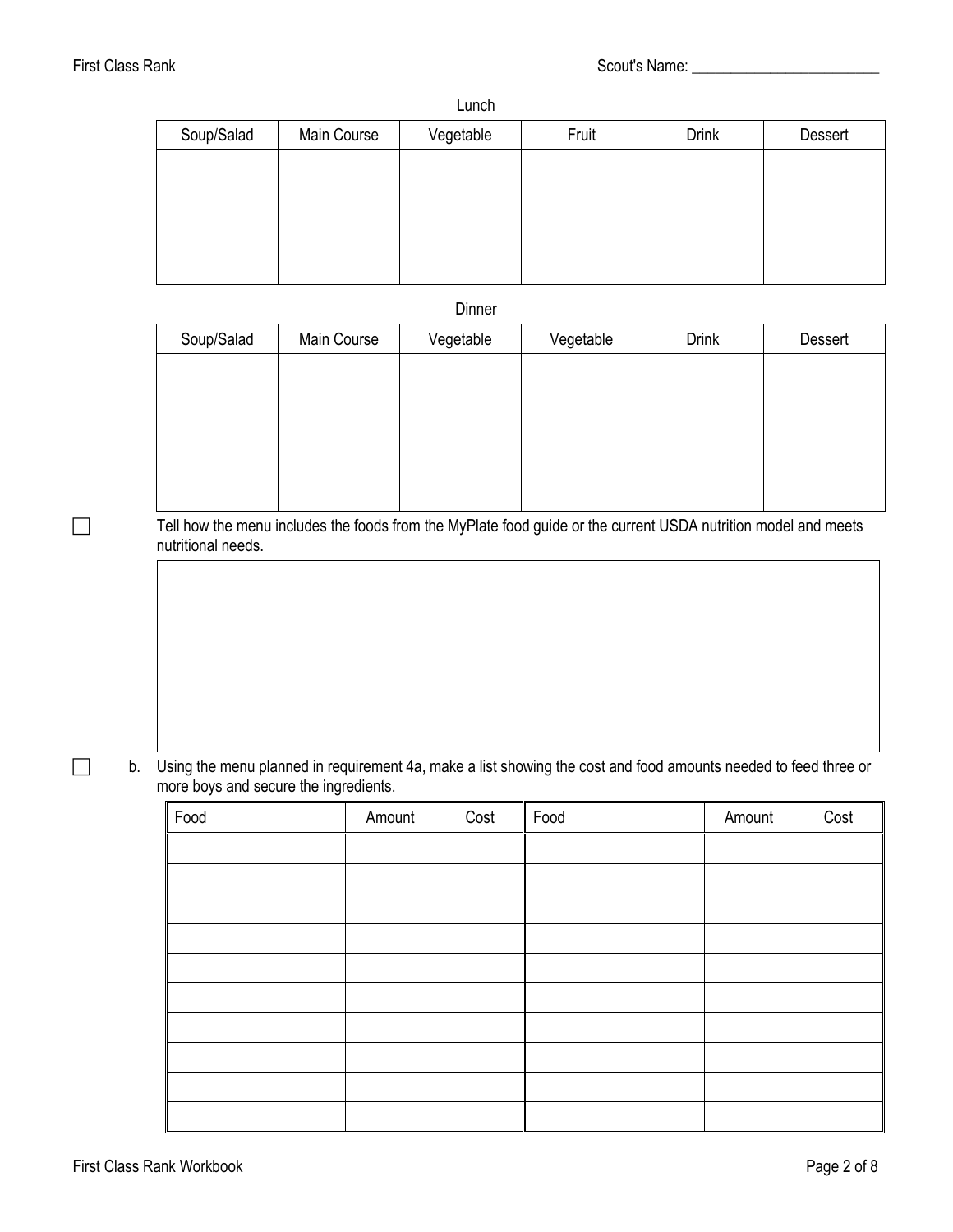### Lunch

| Soup/Salad | Main Course | Vegetable | Fruit | <b>Drink</b> | Dessert |
|------------|-------------|-----------|-------|--------------|---------|
|            |             |           |       |              |         |
|            |             |           |       |              |         |
|            |             |           |       |              |         |
|            |             |           |       |              |         |
|            |             |           |       |              |         |

Dinner

| Soup/Salad | Main Course | Vegetable | Vegetable | <b>Drink</b> | Dessert |
|------------|-------------|-----------|-----------|--------------|---------|
|            |             |           |           |              |         |
|            |             |           |           |              |         |
|            |             |           |           |              |         |
|            |             |           |           |              |         |
|            |             |           |           |              |         |

Tell how the menu includes the foods from the MyPlate food guide or the current USDA nutrition model and meets nutritional needs.

 b. Using the menu planned in requirement 4a, make a list showing the cost and food amounts needed to feed three or more boys and secure the ingredients.

| Food | Amount | Cost | Food | Amount | Cost |
|------|--------|------|------|--------|------|
|      |        |      |      |        |      |
|      |        |      |      |        |      |
|      |        |      |      |        |      |
|      |        |      |      |        |      |
|      |        |      |      |        |      |
|      |        |      |      |        |      |
|      |        |      |      |        |      |
|      |        |      |      |        |      |
|      |        |      |      |        |      |
|      |        |      |      |        |      |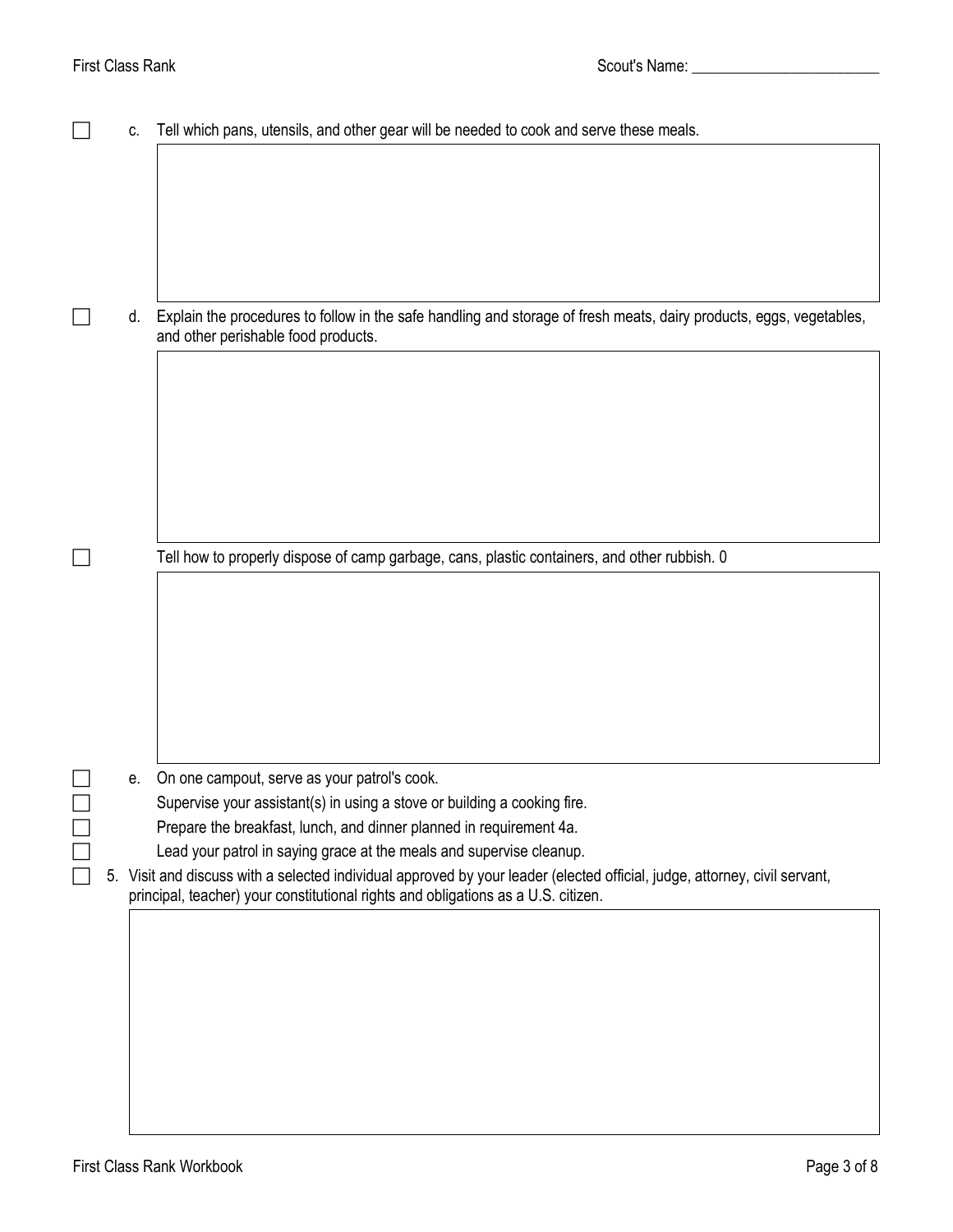|  | C. | Tell which pans, utensils, and other gear will be needed to cook and serve these meals.                                                                    |
|--|----|------------------------------------------------------------------------------------------------------------------------------------------------------------|
|  |    |                                                                                                                                                            |
|  |    |                                                                                                                                                            |
|  |    |                                                                                                                                                            |
|  |    |                                                                                                                                                            |
|  |    |                                                                                                                                                            |
|  | d. | Explain the procedures to follow in the safe handling and storage of fresh meats, dairy products, eggs, vegetables,<br>and other perishable food products. |
|  |    |                                                                                                                                                            |
|  |    |                                                                                                                                                            |
|  |    |                                                                                                                                                            |
|  |    |                                                                                                                                                            |
|  |    |                                                                                                                                                            |
|  |    |                                                                                                                                                            |
|  |    | Tell how to properly dispose of camp garbage, cans, plastic containers, and other rubbish. 0                                                               |
|  |    |                                                                                                                                                            |
|  |    |                                                                                                                                                            |
|  |    |                                                                                                                                                            |
|  |    |                                                                                                                                                            |
|  |    |                                                                                                                                                            |
|  | е. | On one campout, serve as your patrol's cook.                                                                                                               |
|  |    | Supervise your assistant(s) in using a stove or building a cooking fire.                                                                                   |
|  |    | Prepare the breakfast, lunch, and dinner planned in requirement 4a.<br>Lead your patrol in saying grace at the meals and supervise cleanup.                |
|  |    | 5. Visit and discuss with a selected individual approved by your leader (elected official, judge, attorney, civil servant,                                 |
|  |    | principal, teacher) your constitutional rights and obligations as a U.S. citizen.                                                                          |
|  |    |                                                                                                                                                            |
|  |    |                                                                                                                                                            |
|  |    |                                                                                                                                                            |
|  |    |                                                                                                                                                            |
|  |    |                                                                                                                                                            |
|  |    |                                                                                                                                                            |
|  |    |                                                                                                                                                            |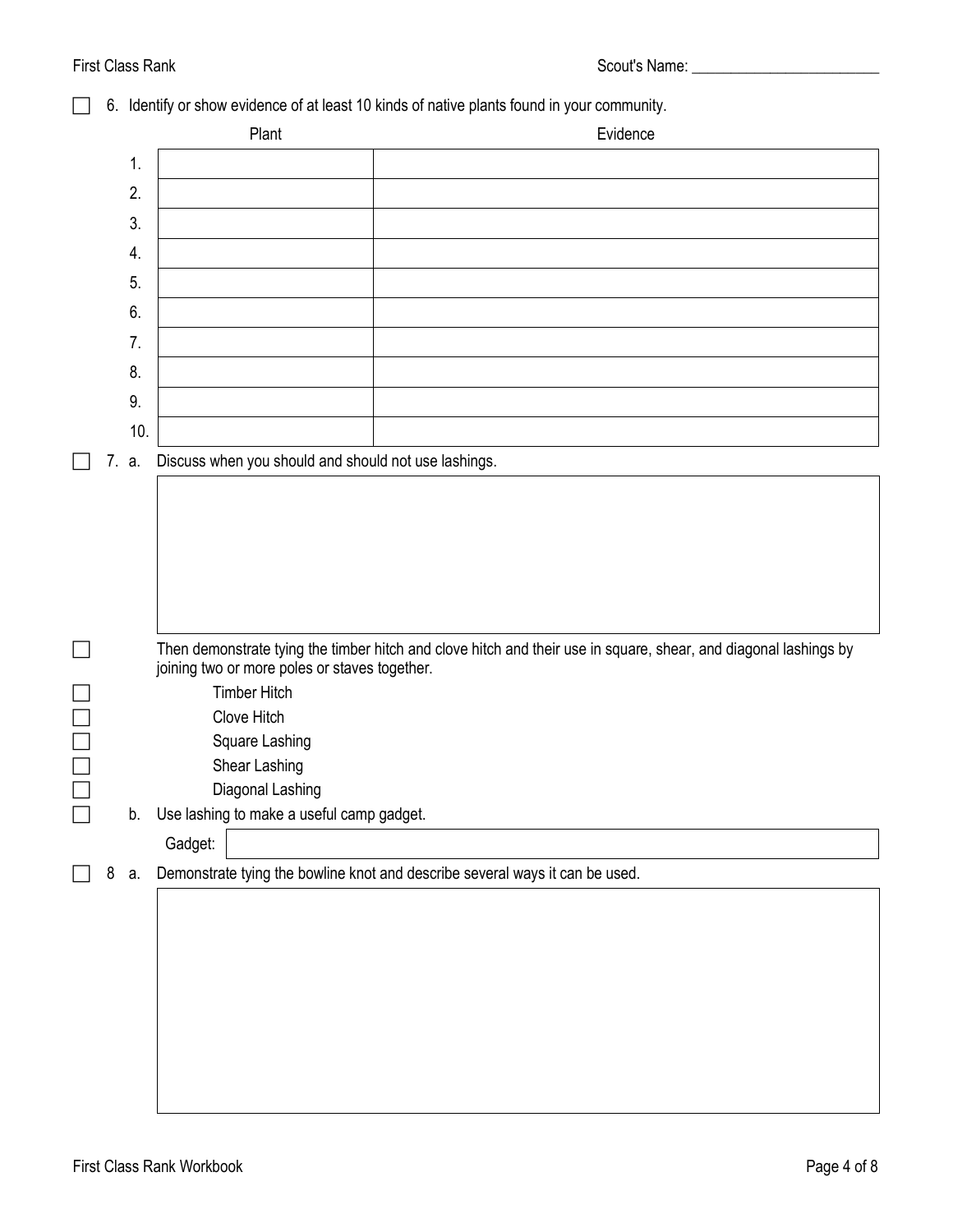# First Class Rank **Scout's Name:** All Scout's Name: All Scout's Name: All Scout's Name: All Scout's Name: All Scout's Name: All Scout's Name: All Scout's Name: All Scout's Name: All Scout's Name: All Scout's Name: All Scout

# 6. Identify or show evidence of at least 10 kinds of native plants found in your community.

|        |   |       | Plant                                                | Evidence                                                                                                         |
|--------|---|-------|------------------------------------------------------|------------------------------------------------------------------------------------------------------------------|
|        |   | 1.    |                                                      |                                                                                                                  |
|        |   | 2.    |                                                      |                                                                                                                  |
|        |   | 3.    |                                                      |                                                                                                                  |
|        |   |       |                                                      |                                                                                                                  |
|        |   | 4.    |                                                      |                                                                                                                  |
|        |   | 5.    |                                                      |                                                                                                                  |
|        |   | 6.    |                                                      |                                                                                                                  |
|        |   | 7.    |                                                      |                                                                                                                  |
|        |   | 8.    |                                                      |                                                                                                                  |
|        |   | 9.    |                                                      |                                                                                                                  |
|        |   | 10.   |                                                      |                                                                                                                  |
|        |   | 7. a. | Discuss when you should and should not use lashings. |                                                                                                                  |
|        |   |       |                                                      |                                                                                                                  |
|        |   |       |                                                      |                                                                                                                  |
|        |   |       |                                                      |                                                                                                                  |
|        |   |       |                                                      |                                                                                                                  |
|        |   |       |                                                      |                                                                                                                  |
|        |   |       |                                                      |                                                                                                                  |
|        |   |       |                                                      | Then demonstrate tying the timber hitch and clove hitch and their use in square, shear, and diagonal lashings by |
|        |   |       | joining two or more poles or staves together.        |                                                                                                                  |
|        |   |       | <b>Timber Hitch</b>                                  |                                                                                                                  |
|        |   |       | Clove Hitch                                          |                                                                                                                  |
|        |   |       | Square Lashing                                       |                                                                                                                  |
|        |   |       | Shear Lashing                                        |                                                                                                                  |
|        |   |       | Diagonal Lashing                                     |                                                                                                                  |
| $\Box$ |   |       | b. Use lashing to make a useful camp gadget.         |                                                                                                                  |
|        |   |       | Gadget:                                              |                                                                                                                  |
|        | 8 | a.    |                                                      | Demonstrate tying the bowline knot and describe several ways it can be used.                                     |
|        |   |       |                                                      |                                                                                                                  |
|        |   |       |                                                      |                                                                                                                  |
|        |   |       |                                                      |                                                                                                                  |
|        |   |       |                                                      |                                                                                                                  |
|        |   |       |                                                      |                                                                                                                  |
|        |   |       |                                                      |                                                                                                                  |
|        |   |       |                                                      |                                                                                                                  |
|        |   |       |                                                      |                                                                                                                  |
|        |   |       |                                                      |                                                                                                                  |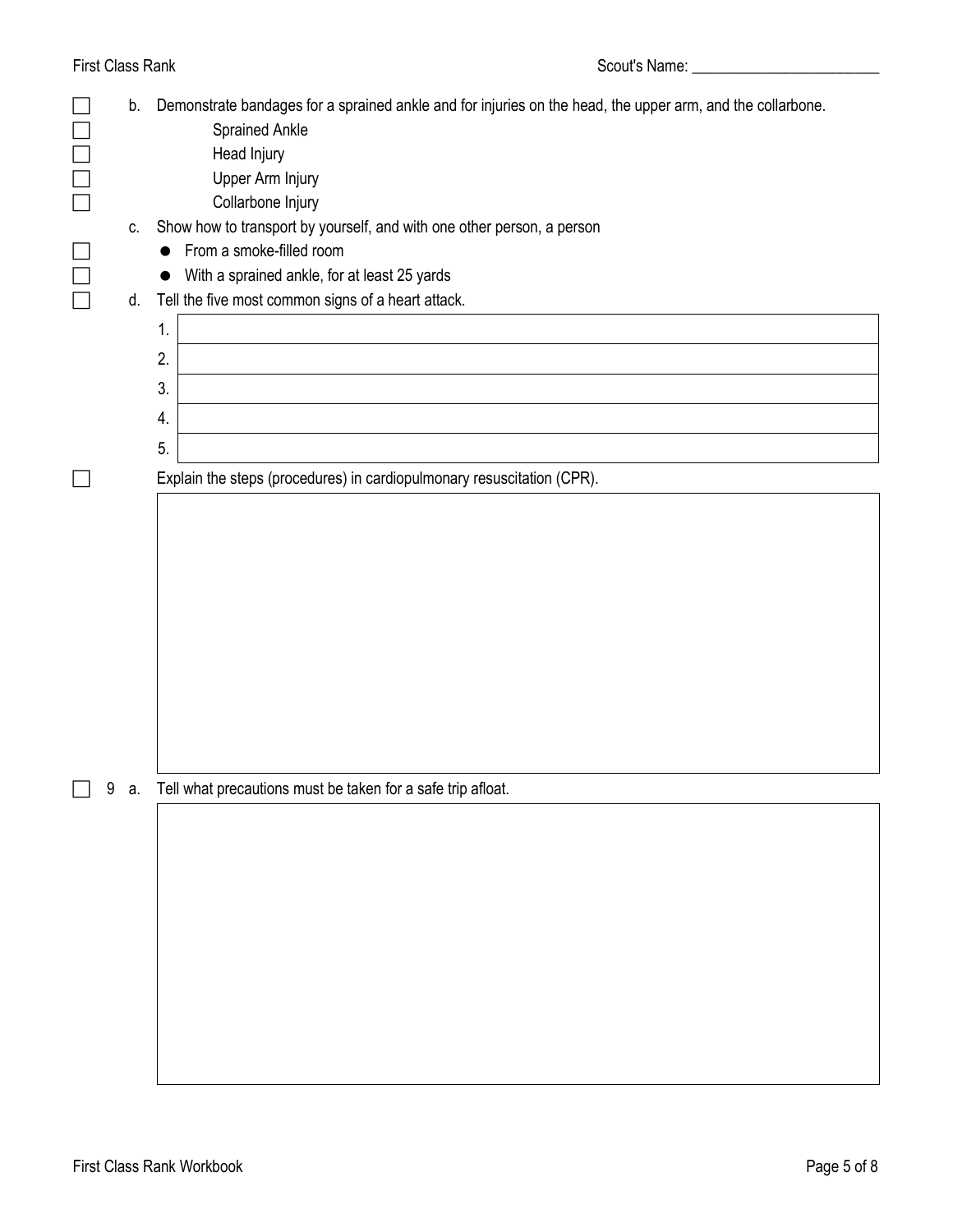First Class Rank **Scout's Name:** All Scout's Name: All Scout's Name: All Scout's Name: All Scout's Name: All Scout's Name: All Scout's Name: All Scout's Name: All Scout's Name: All Scout's Name: All Scout's Name: All Scout

|                          | b. | Demonstrate bandages for a sprained ankle and for injuries on the head, the upper arm, and the collarbone. |
|--------------------------|----|------------------------------------------------------------------------------------------------------------|
|                          |    | <b>Sprained Ankle</b>                                                                                      |
| Ē                        |    | Head Injury                                                                                                |
|                          |    | Upper Arm Injury                                                                                           |
|                          |    | Collarbone Injury                                                                                          |
|                          | C. | Show how to transport by yourself, and with one other person, a person                                     |
|                          |    | From a smoke-filled room<br>$\bullet$                                                                      |
|                          |    | With a sprained ankle, for at least 25 yards<br>$\bullet$                                                  |
| Ē                        | d. | Tell the five most common signs of a heart attack.                                                         |
|                          |    | 1.                                                                                                         |
|                          |    | 2.                                                                                                         |
|                          |    | 3.                                                                                                         |
|                          |    | 4.                                                                                                         |
|                          |    | 5.                                                                                                         |
|                          |    | Explain the steps (procedures) in cardiopulmonary resuscitation (CPR).                                     |
|                          |    |                                                                                                            |
|                          |    |                                                                                                            |
|                          |    |                                                                                                            |
|                          |    |                                                                                                            |
|                          |    |                                                                                                            |
|                          |    |                                                                                                            |
|                          |    |                                                                                                            |
|                          |    |                                                                                                            |
|                          |    |                                                                                                            |
|                          |    |                                                                                                            |
|                          |    |                                                                                                            |
| $\overline{\phantom{a}}$ |    | 9 a. Tell what precautions must be taken for a safe trip afloat.                                           |
|                          |    |                                                                                                            |
|                          |    |                                                                                                            |
|                          |    |                                                                                                            |
|                          |    |                                                                                                            |
|                          |    |                                                                                                            |
|                          |    |                                                                                                            |
|                          |    |                                                                                                            |
|                          |    |                                                                                                            |
|                          |    |                                                                                                            |
|                          |    |                                                                                                            |
|                          |    |                                                                                                            |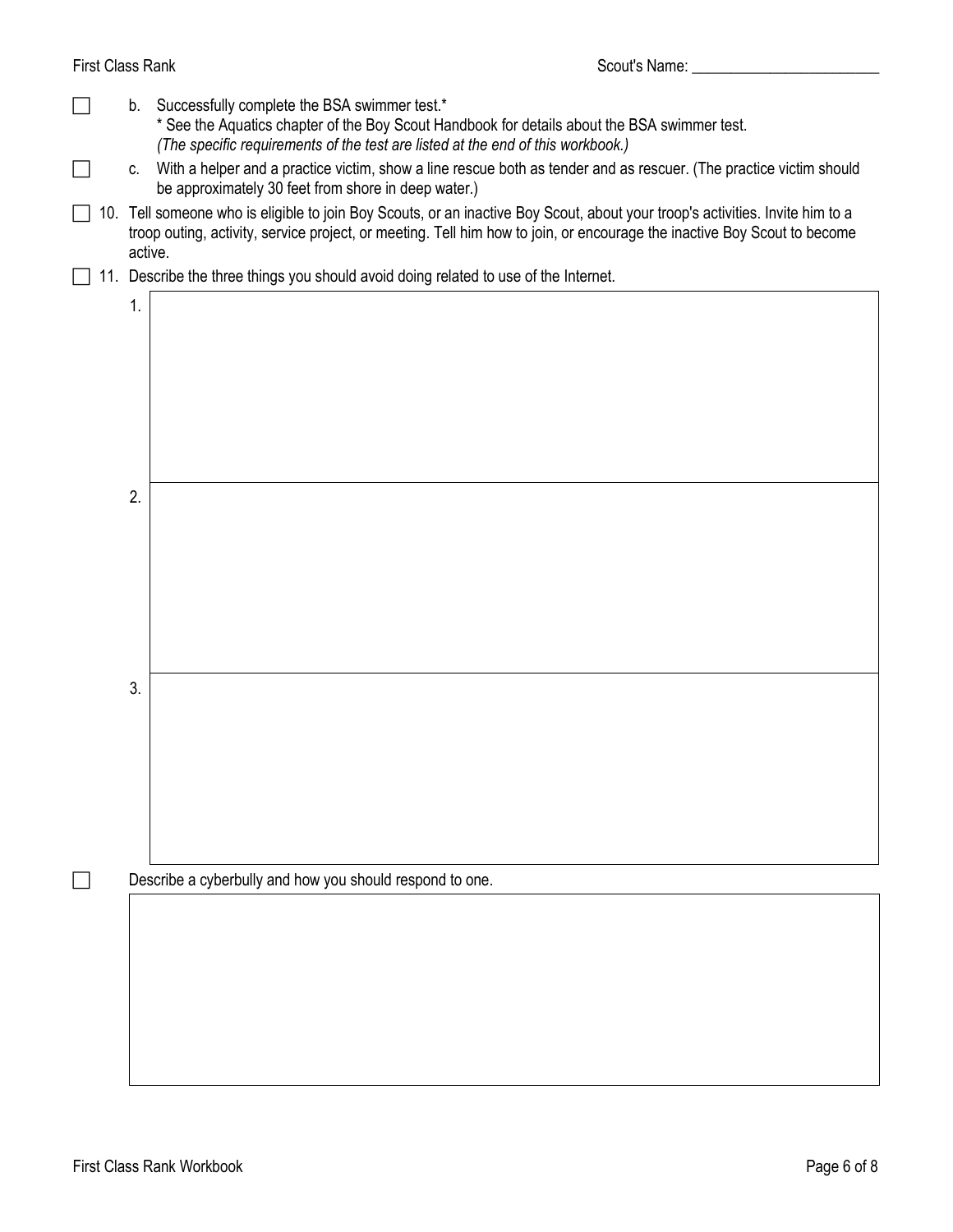| First Class Rank |         | Scout's Name: Scout's Name:                                                                                                                                                                                                                           |
|------------------|---------|-------------------------------------------------------------------------------------------------------------------------------------------------------------------------------------------------------------------------------------------------------|
|                  | b.      | Successfully complete the BSA swimmer test.*<br>* See the Aquatics chapter of the Boy Scout Handbook for details about the BSA swimmer test.<br>(The specific requirements of the test are listed at the end of this workbook.)                       |
|                  | C.      | With a helper and a practice victim, show a line rescue both as tender and as rescuer. (The practice victim should<br>be approximately 30 feet from shore in deep water.)                                                                             |
| 10.              | active. | Tell someone who is eligible to join Boy Scouts, or an inactive Boy Scout, about your troop's activities. Invite him to a<br>troop outing, activity, service project, or meeting. Tell him how to join, or encourage the inactive Boy Scout to become |
|                  |         | 11. Describe the three things you should avoid doing related to use of the Internet.                                                                                                                                                                  |
|                  | 1.      |                                                                                                                                                                                                                                                       |
|                  | 2.      |                                                                                                                                                                                                                                                       |
|                  | 3.      |                                                                                                                                                                                                                                                       |
|                  |         | Describe a cyberbully and how you should respond to one.                                                                                                                                                                                              |
|                  |         |                                                                                                                                                                                                                                                       |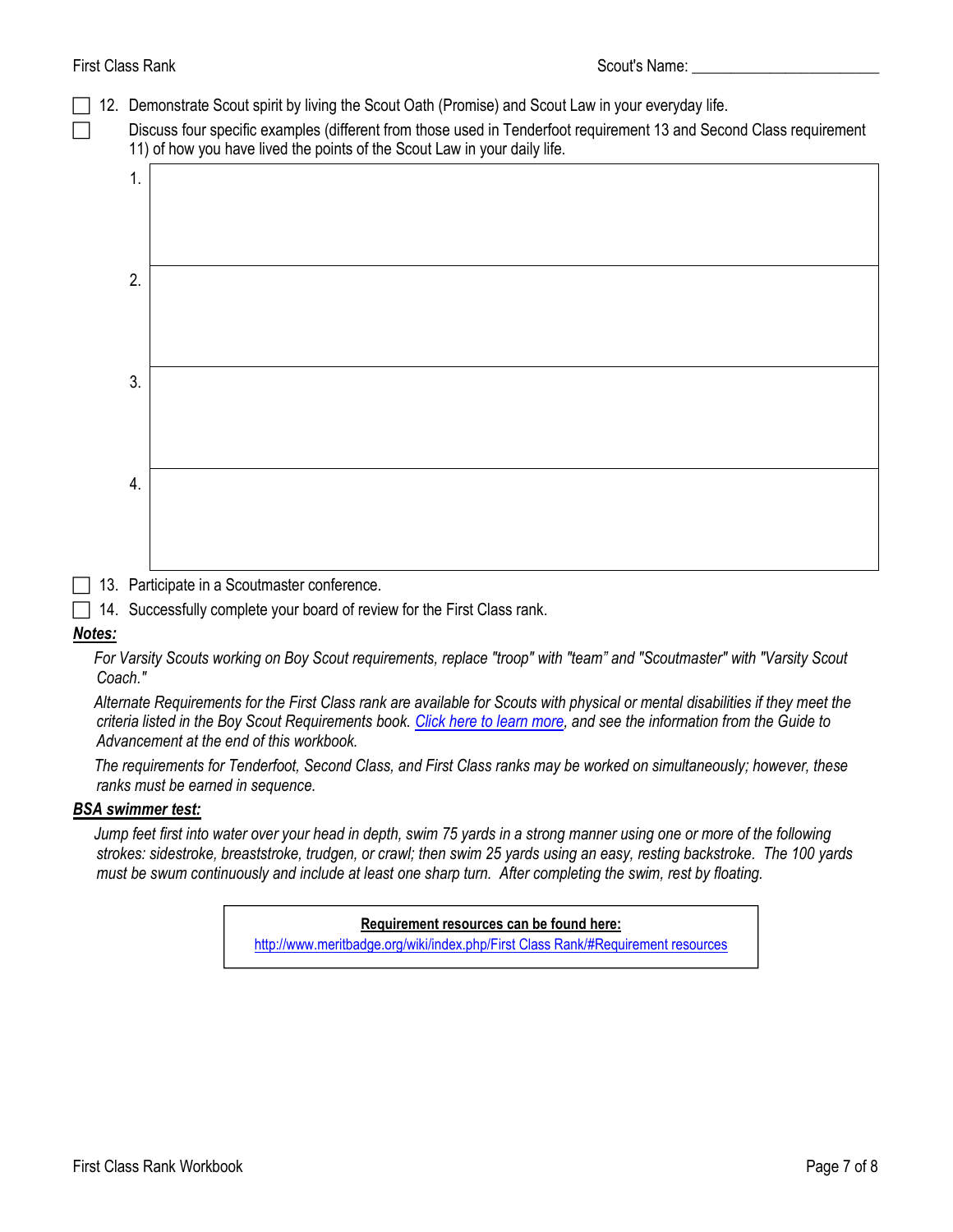- $\Box$  12. Demonstrate [Scout spirit](http://meritbadge.org/wiki/index.php/Scout_spirit) by living the [Scout Oath \(Promise\)](http://meritbadge.org/wiki/index.php/Scout_Oath) and [Scout Law](http://meritbadge.org/wiki/index.php/Scout_Law) in your everyday life.
	- Discuss four specific examples (different from those used in Tenderfoot requirement 13 and Second Class requirement 11) of how you have lived the points of the Scout Law in your daily life.

| 1. |  |
|----|--|
| 2. |  |
| 3. |  |
| 4. |  |
|    |  |

13. Participate in a Scoutmaster conference.

 $\Box$  14. Successfully complete your board of review for the First Class rank.

# *Notes:*

*For Varsity Scouts working on Boy Scout requirements, replace "troop" with "team" and "Scoutmaster" with "Varsity Scout Coach."*

*Alternate Requirements for the First Class rank are available for Scouts with physical or mental disabilities if they meet the criteria listed in the Boy Scout Requirements book. [Click here to learn more](http://usscouts.org/advance/boyscout/bsrankalt.asp), and see the information from the Guide to Advancement at the end of this workbook.*

*The requirements for Tenderfoot, Second Class, and First Class ranks may be worked on simultaneously; however, these ranks must be earned in sequence.*

# *BSA swimmer test:*

*Jump feet first into water over your head in depth, swim 75 yards in a strong manner using one or more of the following strokes: sidestroke, breaststroke, trudgen, or crawl; then swim 25 yards using an easy, resting backstroke. The 100 yards must be swum continuously and include at least one sharp turn. After completing the swim, rest by floating.*

> **Requirement resources can be found here:** [http://www.meritbadge.org/wiki/index.php/First Class Rank/#Requirement resources](http://www.meritbadge.org/wiki/index.php/First_Class_Rank#Requirement_resources)